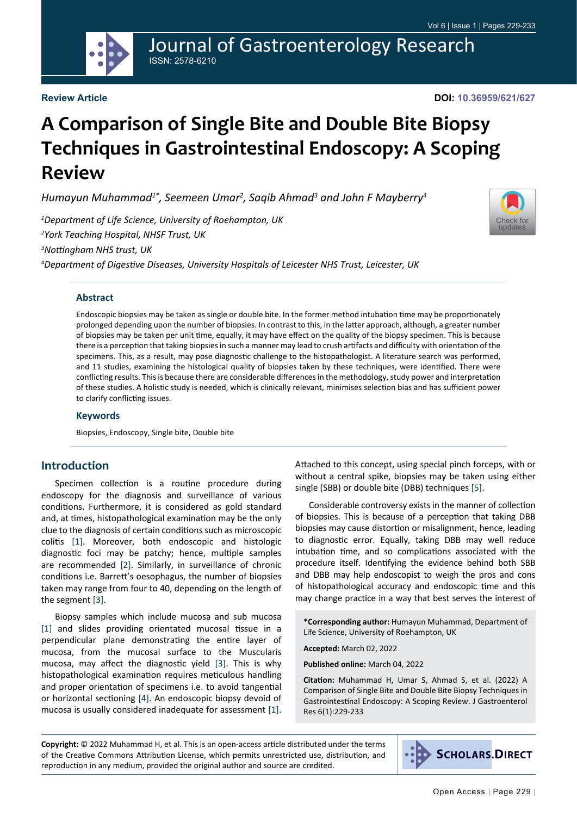

# Journal of Gastroenterology Research ISSN: 2578-6210

#### **Review Article**

**DOI: 10.36959/621/627**

# **A Comparison of Single Bite and Double Bite Biopsy Techniques in Gastrointestinal Endoscopy: A Scoping Review**

*Humayun Muhammad1\*, Seemeen Umar2 , Saqib Ahmad3 and John F Mayberry4*

*1 Department of Life Science, University of Roehampton, UK 2 York Teaching Hospital, NHSF Trust, UK 3 Nottingham NHS trust, UK*

*4 Department of Digestive Diseases, University Hospitals of Leicester NHS Trust, Leicester, UK*



#### **Abstract**

Endoscopic biopsies may be taken as single or double bite. In the former method intubation time may be proportionately prolonged depending upon the number of biopsies. In contrast to this, in the latter approach, although, a greater number of biopsies may be taken per unit time, equally, it may have effect on the quality of the biopsy specimen. This is because there is a perception that taking biopsies in such a manner may lead to crush artifacts and difficulty with orientation of the specimens. This, as a result, may pose diagnostic challenge to the histopathologist. A literature search was performed, and 11 studies, examining the histological quality of biopsies taken by these techniques, were identified. There were conflicting results. This is because there are considerable differences in the methodology, study power and interpretation of these studies. A holistic study is needed, which is clinically relevant, minimises selection bias and has sufficient power to clarify conflicting issues.

#### **Keywords**

Biopsies, Endoscopy, Single bite, Double bite

#### **Introduction**

Specimen collection is a routine procedure during endoscopy for the diagnosis and surveillance of various conditions. Furthermore, it is considered as gold standard and, at times, histopathological examination may be the only clue to the diagnosis of certain conditions such as microscopic colitis [\[1](#page-4-0)]. Moreover, both endoscopic and histologic diagnostic foci may be patchy; hence, multiple samples are recommended [\[2](#page-4-1)]. Similarly, in surveillance of chronic conditions i.e. Barrett's oesophagus, the number of biopsies taken may range from four to 40, depending on the length of the segment [[3\]](#page-4-2).

Biopsy samples which include mucosa and sub mucosa [[1\]](#page-4-0) and slides providing orientated mucosal tissue in a perpendicular plane demonstrating the entire layer of mucosa, from the mucosal surface to the Muscularis mucosa, may affect the diagnostic yield [\[3](#page-4-2)]. This is why histopathological examination requires meticulous handling and proper orientation of specimens i.e. to avoid tangential or horizontal sectioning [[4\]](#page-4-3). An endoscopic biopsy devoid of mucosa is usually considered inadequate for assessment [[1\]](#page-4-0).

Attached to this concept, using special pinch forceps, with or without a central spike, biopsies may be taken using either single (SBB) or double bite (DBB) techniques [\[5](#page-4-4)].

Considerable controversy exists in the manner of collection of biopsies. This is because of a perception that taking DBB biopsies may cause distortion or misalignment, hence, leading to diagnostic error. Equally, taking DBB may well reduce intubation time, and so complications associated with the procedure itself. Identifying the evidence behind both SBB and DBB may help endoscopist to weigh the pros and cons of histopathological accuracy and endoscopic time and this may change practice in a way that best serves the interest of

**\*Corresponding author:** Humayun Muhammad, Department of Life Science, University of Roehampton, UK

**Accepted:** March 02, 2022

**Published online:** March 04, 2022

**Citation:** Muhammad H, Umar S, Ahmad S, et al. (2022) A Comparison of Single Bite and Double Bite Biopsy Techniques in Gastrointestinal Endoscopy: A Scoping Review. J Gastroenterol Res 6(1):229-233

**Copyright:** © 2022 Muhammad H, et al. This is an open-access article distributed under the terms of the Creative Commons Attribution License, which permits unrestricted use, distribution, and reproduction in any medium, provided the original author and source are credited.

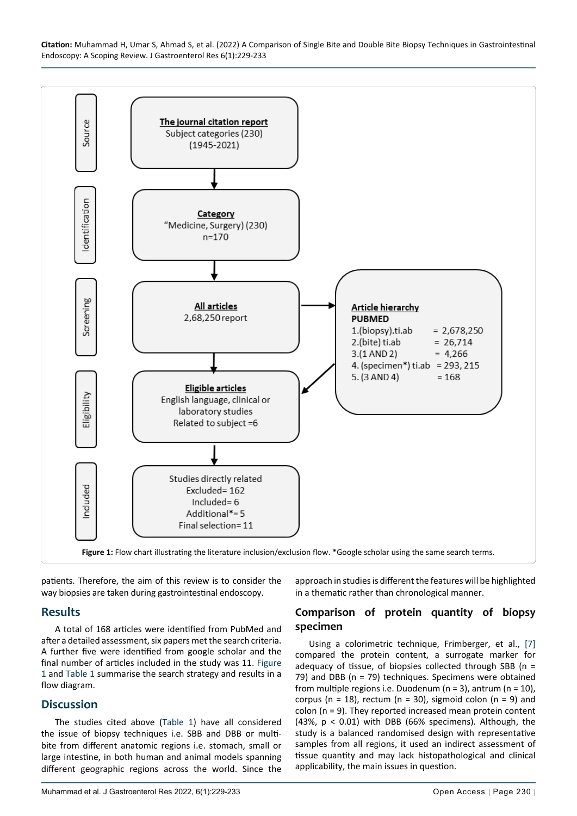<span id="page-1-0"></span>

patients. Therefore, the aim of this review is to consider the way biopsies are taken during gastrointestinal endoscopy.

## **Results**

A total of 168 articles were identified from PubMed and after a detailed assessment, six papers met the search criteria. A further five were identified from google scholar and the final number of articles included in the study was 11. [Figure](#page-1-0)  [1](#page-1-0) and [Table 1](#page-2-0) summarise the search strategy and results in a flow diagram.

## **Discussion**

The studies cited above ([Table 1\)](#page-2-0) have all considered the issue of biopsy techniques i.e. SBB and DBB or multibite from different anatomic regions i.e. stomach, small or large intestine, in both human and animal models spanning different geographic regions across the world. Since the

Muhammad et al. J Gastroenterol Res 2022, 6(1):229-233 **Open Access | Page 230** |

approach in studies is different the features will be highlighted in a thematic rather than chronological manner.

#### **Comparison of protein quantity of biopsy specimen**

Using a colorimetric technique, Frimberger, et al., [[7\]](#page-4-5) compared the protein content, a surrogate marker for adequacy of tissue, of biopsies collected through SBB (n = 79) and DBB (n = 79) techniques. Specimens were obtained from multiple regions i.e. Duodenum ( $n = 3$ ), antrum ( $n = 10$ ), corpus ( $n = 18$ ), rectum ( $n = 30$ ), sigmoid colon ( $n = 9$ ) and colon (n = 9). They reported increased mean protein content (43%, p < 0.01) with DBB (66% specimens). Although, the study is a balanced randomised design with representative samples from all regions, it used an indirect assessment of tissue quantity and may lack histopathological and clinical applicability, the main issues in question.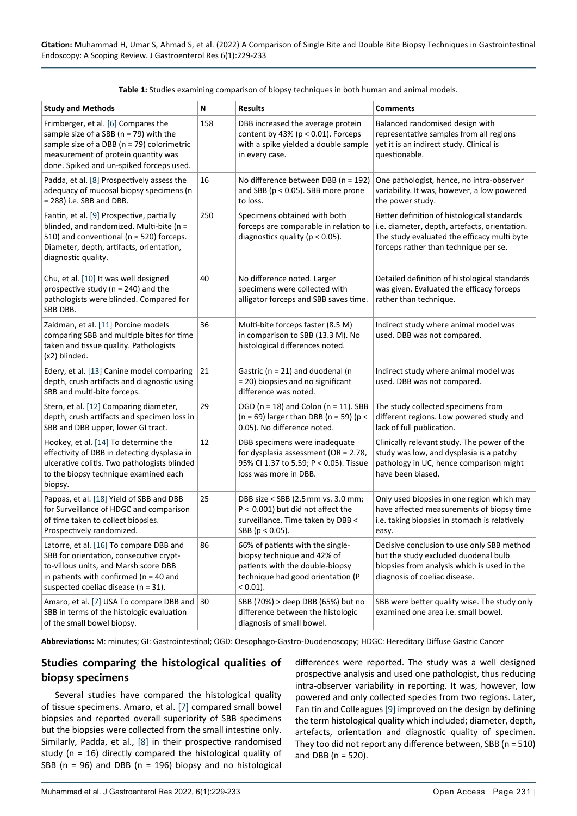| <b>Study and Methods</b>                                                                                                                                                                                            | N   | <b>Results</b>                                                                                                                                      | <b>Comments</b>                                                                                                                                                                      |
|---------------------------------------------------------------------------------------------------------------------------------------------------------------------------------------------------------------------|-----|-----------------------------------------------------------------------------------------------------------------------------------------------------|--------------------------------------------------------------------------------------------------------------------------------------------------------------------------------------|
| Frimberger, et al. [6] Compares the<br>sample size of a SBB ( $n = 79$ ) with the<br>sample size of a DBB (n = 79) colorimetric<br>measurement of protein quantity was<br>done. Spiked and un-spiked forceps used.  | 158 | DBB increased the average protein<br>content by 43% ( $p < 0.01$ ). Forceps<br>with a spike yielded a double sample<br>in every case.               | Balanced randomised design with<br>representative samples from all regions<br>yet it is an indirect study. Clinical is<br>questionable.                                              |
| Padda, et al. [8] Prospectively assess the<br>adequacy of mucosal biopsy specimens (n<br>= 288) i.e. SBB and DBB.                                                                                                   | 16  | No difference between DBB (n = 192)<br>and SBB ( $p < 0.05$ ). SBB more prone<br>to loss.                                                           | One pathologist, hence, no intra-observer<br>variability. It was, however, a low powered<br>the power study.                                                                         |
| Fantin, et al. [9] Prospective, partially<br>blinded, and randomized. Multi-bite (n =<br>510) and conventional (n = 520) forceps.<br>Diameter, depth, artifacts, orientation,<br>diagnostic quality.                | 250 | Specimens obtained with both<br>forceps are comparable in relation to<br>diagnostics quality ( $p < 0.05$ ).                                        | Better definition of histological standards<br>i.e. diameter, depth, artefacts, orientation.<br>The study evaluated the efficacy multi byte<br>forceps rather than technique per se. |
| Chu, et al. [10] It was well designed<br>prospective study ( $n = 240$ ) and the<br>pathologists were blinded. Compared for<br>SBB DBB.                                                                             | 40  | No difference noted. Larger<br>specimens were collected with<br>alligator forceps and SBB saves time.                                               | Detailed definition of histological standards<br>was given. Evaluated the efficacy forceps<br>rather than technique.                                                                 |
| Zaidman, et al. [11] Porcine models<br>comparing SBB and multiple bites for time<br>taken and tissue quality. Pathologists<br>(x2) blinded.                                                                         | 36  | Multi-bite forceps faster (8.5 M)<br>in comparison to SBB (13.3 M). No<br>histological differences noted.                                           | Indirect study where animal model was<br>used. DBB was not compared.                                                                                                                 |
| Edery, et al. [13] Canine model comparing<br>depth, crush artifacts and diagnostic using<br>SBB and multi-bite forceps.                                                                                             | 21  | Gastric ( $n = 21$ ) and duodenal (n<br>= 20) biopsies and no significant<br>difference was noted.                                                  | Indirect study where animal model was<br>used. DBB was not compared.                                                                                                                 |
| Stern, et al. [12] Comparing diameter,<br>depth, crush artifacts and specimen loss in<br>SBB and DBB upper, lower GI tract.                                                                                         | 29  | OGD ( $n = 18$ ) and Colon ( $n = 11$ ). SBB<br>(n = 69) larger than DBB (n = 59) (p <<br>0.05). No difference noted.                               | The study collected specimens from<br>different regions. Low powered study and<br>lack of full publication.                                                                          |
| Hookey, et al. [14] To determine the<br>effectivity of DBB in detecting dysplasia in<br>ulcerative colitis. Two pathologists blinded<br>to the biopsy technique examined each<br>biopsy.                            | 12  | DBB specimens were inadequate<br>for dysplasia assessment (OR = $2.78$ ,<br>95% CI 1.37 to 5.59; P < 0.05). Tissue<br>loss was more in DBB.         | Clinically relevant study. The power of the<br>study was low, and dysplasia is a patchy<br>pathology in UC, hence comparison might<br>have been biased.                              |
| Pappas, et al. [18] Yield of SBB and DBB<br>for Surveillance of HDGC and comparison<br>of time taken to collect biopsies.<br>Prospectively randomized.                                                              | 25  | DBB size < SBB (2.5 mm vs. 3.0 mm;<br>$P < 0.001$ ) but did not affect the<br>surveillance. Time taken by DBB <<br>SBB ( $p < 0.05$ ).              | Only used biopsies in one region which may<br>have affected measurements of biopsy time<br>i.e. taking biopsies in stomach is relatively<br>easv.                                    |
| Latorre, et al. [16] To compare DBB and<br>SBB for orientation, consecutive crypt-<br>to-villous units, and Marsh score DBB<br>in patients with confirmed ( $n = 40$ and<br>suspected coeliac disease ( $n = 31$ ). | 86  | 66% of patients with the single-<br>biopsy technique and 42% of<br>patients with the double-biopsy<br>technique had good orientation (P<br>< 0.01). | Decisive conclusion to use only SBB method<br>but the study excluded duodenal bulb<br>biopsies from analysis which is used in the<br>diagnosis of coeliac disease.                   |
| Amaro, et al. [7] USA To compare DBB and<br>SBB in terms of the histologic evaluation<br>of the small bowel biopsy.                                                                                                 | 30  | SBB (70%) > deep DBB (65%) but no<br>difference between the histologic<br>diagnosis of small bowel.                                                 | SBB were better quality wise. The study only<br>examined one area i.e. small bowel.                                                                                                  |

<span id="page-2-0"></span>**Table 1:** Studies examining comparison of biopsy techniques in both human and animal models.

**Abbreviations:** M: minutes; GI: Gastrointestinal; OGD: Oesophago-Gastro-Duodenoscopy; HDGC: Hereditary Diffuse Gastric Cancer

## **Studies comparing the histological qualities of biopsy specimens**

Several studies have compared the histological quality of tissue specimens. Amaro, et al. [[7\]](#page-4-5) compared small bowel biopsies and reported overall superiority of SBB specimens but the biopsies were collected from the small intestine only. Similarly, Padda, et al., [\[8](#page-4-7)] in their prospective randomised study (n = 16) directly compared the histological quality of SBB (n = 96) and DBB (n = 196) biopsy and no histological

differences were reported. The study was a well designed prospective analysis and used one pathologist, thus reducing intra-observer variability in reporting. It was, however, low powered and only collected species from two regions. Later, Fan tin and Colleagues [\[9](#page-4-6)] improved on the design by defining the term histological quality which included; diameter, depth, artefacts, orientation and diagnostic quality of specimen. They too did not report any difference between, SBB (n = 510) and DBB ( $n = 520$ ).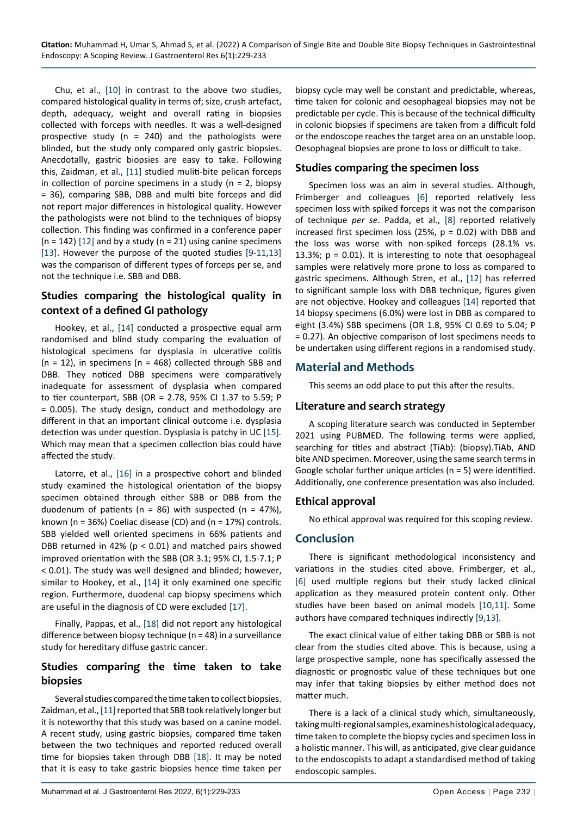Chu, et al., [[10\]](#page-4-9) in contrast to the above two studies, compared histological quality in terms of; size, crush artefact, depth, adequacy, weight and overall rating in biopsies collected with forceps with needles. It was a well-designed prospective study (n = 240) and the pathologists were blinded, but the study only compared only gastric biopsies. Anecdotally, gastric biopsies are easy to take. Following this, Zaidman, et al., [\[11](#page-4-10)] studied muliti-bite pelican forceps in collection of porcine specimens in a study ( $n = 2$ , biopsy = 36), comparing SBB, DBB and multi bite forceps and did not report major differences in histological quality. However the pathologists were not blind to the techniques of biopsy collection. This finding was confirmed in a conference paper  $(n = 142)$  [\[12](#page-4-12)] and by a study  $(n = 21)$  using canine specimens [[13\]](#page-4-11). However the purpose of the quoted studies [[9](#page-4-6)-[11](#page-4-10)[,13](#page-4-11)] was the comparison of different types of forceps per se, and not the technique i.e. SBB and DBB.

## **Studies comparing the histological quality in context of a defined GI pathology**

Hookey, et al., [[14\]](#page-4-13) conducted a prospective equal arm randomised and blind study comparing the evaluation of histological specimens for dysplasia in ulcerative colitis  $(n = 12)$ , in specimens  $(n = 468)$  collected through SBB and DBB. They noticed DBB specimens were comparatively inadequate for assessment of dysplasia when compared to tier counterpart, SBB (OR = 2.78, 95% CI 1.37 to 5.59; P = 0.005). The study design, conduct and methodology are different in that an important clinical outcome i.e. dysplasia detection was under question. Dysplasia is patchy in UC [[15\]](#page-4-16)*.*  Which may mean that a specimen collection bias could have affected the study.

Latorre, et al., [\[16](#page-4-15)] in a prospective cohort and blinded study examined the histological orientation of the biopsy specimen obtained through either SBB or DBB from the duodenum of patients ( $n = 86$ ) with suspected ( $n = 47\%$ ), known (n = 36%) Coeliac disease (CD) and (n = 17%) controls. SBB yielded well oriented specimens in 66% patients and DBB returned in 42% ( $p < 0.01$ ) and matched pairs showed improved orientation with the SBB (OR 3.1; 95% CI, 1.5-7.1; P < 0.01). The study was well designed and blinded; however, similar to Hookey, et al., [[14](#page-4-13)] it only examined one specific region. Furthermore, duodenal cap biopsy specimens which are useful in the diagnosis of CD were excluded [[17\]](#page-4-17).

Finally, Pappas, et al., [\[18](#page-4-14)] did not report any histological difference between biopsy technique (n = 48) in a surveillance study for hereditary diffuse gastric cancer.

#### **Studies comparing the time taken to take biopsies**

Several studies compared the time taken to collect biopsies. Zaidman, et al., [[11\]](#page-4-10) reported that SBB took relatively longer but it is noteworthy that this study was based on a canine model. A recent study, using gastric biopsies, compared time taken between the two techniques and reported reduced overall time for biopsies taken through DBB [[18\]](#page-4-14). It may be noted that it is easy to take gastric biopsies hence time taken per

biopsy cycle may well be constant and predictable, whereas, time taken for colonic and oesophageal biopsies may not be predictable per cycle. This is because of the technical difficulty in colonic biopsies if specimens are taken from a difficult fold or the endoscope reaches the target area on an unstable loop. Oesophageal biopsies are prone to loss or difficult to take.

#### **Studies comparing the specimen loss**

Specimen loss was an aim in several studies. Although, Frimberger and colleagues [[6\]](#page-4-8) reported relatively less specimen loss with spiked forceps it was not the comparison of technique *per se*. Padda, et al., [[8\]](#page-4-7) reported relatively increased first specimen loss (25%,  $p = 0.02$ ) with DBB and the loss was worse with non-spiked forceps (28.1% vs. 13.3%;  $p = 0.01$ ). It is interesting to note that oesophageal samples were relatively more prone to loss as compared to gastric specimens. Although Stren, et al., [\[12](#page-4-12)] has referred to significant sample loss with DBB technique, figures given are not objective. Hookey and colleagues [[14](#page-4-13)] reported that 14 biopsy specimens (6.0%) were lost in DBB as compared to eight (3.4%) SBB specimens (OR 1.8, 95% CI 0.69 to 5.04; P = 0.27). An objective comparison of lost specimens needs to be undertaken using different regions in a randomised study.

## **Material and Methods**

This seems an odd place to put this after the results.

#### **Literature and search strategy**

A scoping literature search was conducted in September 2021 using PUBMED. The following terms were applied, searching for titles and abstract (TiAb): (biopsy).TiAb, AND bite AND specimen. Moreover, using the same search terms in Google scholar further unique articles (n = 5) were identified. Additionally, one conference presentation was also included.

## **Ethical approval**

No ethical approval was required for this scoping review.

## **Conclusion**

There is significant methodological inconsistency and variations in the studies cited above. Frimberger, et al., [[6\]](#page-4-8) used multiple regions but their study lacked clinical application as they measured protein content only. Other studies have been based on animal models [\[10,](#page-4-9)[11](#page-4-10)]. Some authors have compared techniques indirectly [[9](#page-4-6)[,13\]](#page-4-11).

The exact clinical value of either taking DBB or SBB is not clear from the studies cited above. This is because, using a large prospective sample, none has specifically assessed the diagnostic or prognostic value of these techniques but one may infer that taking biopsies by either method does not matter much.

There is a lack of a clinical study which, simultaneously, taking multi-regional samples, examines histological adequacy, time taken to complete the biopsy cycles and specimen loss in a holistic manner. This will, as anticipated, give clear guidance to the endoscopists to adapt a standardised method of taking endoscopic samples.